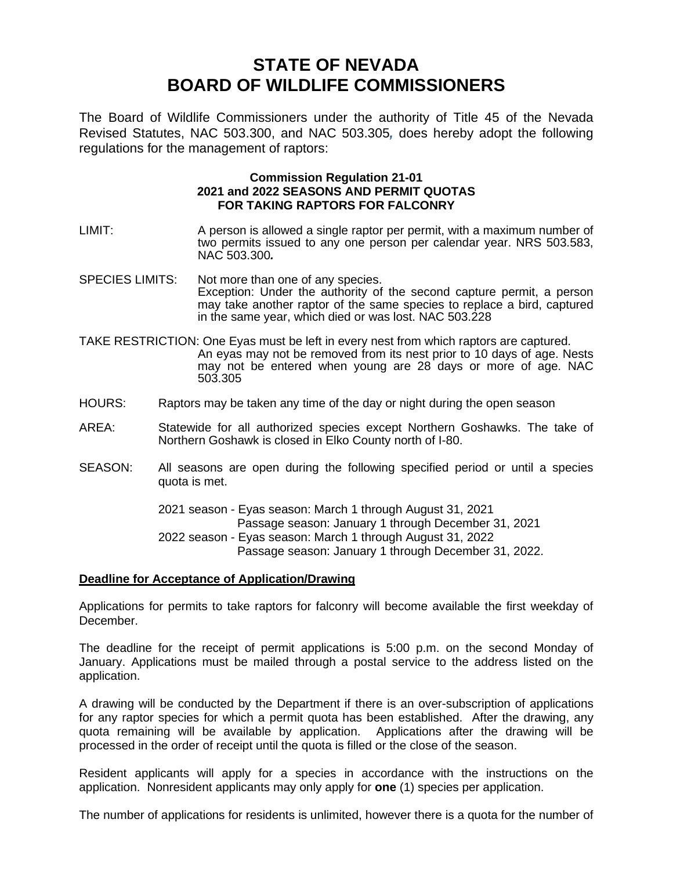## **STATE OF NEVADA BOARD OF WILDLIFE COMMISSIONERS**

The Board of Wildlife Commissioners under the authority of Title 45 of the Nevada Revised Statutes, NAC 503.300, and NAC 503.305*,* does hereby adopt the following regulations for the management of raptors:

## **Commission Regulation 21-01 2021 and 2022 SEASONS AND PERMIT QUOTAS FOR TAKING RAPTORS FOR FALCONRY**

- LIMIT: A person is allowed a single raptor per permit, with a maximum number of two permits issued to any one person per calendar year. NRS 503.583, NAC 503.300*.*
- SPECIES LIMITS: Not more than one of any species. Exception: Under the authority of the second capture permit, a person may take another raptor of the same species to replace a bird, captured in the same year, which died or was lost. NAC 503.228
- TAKE RESTRICTION: One Eyas must be left in every nest from which raptors are captured. An eyas may not be removed from its nest prior to 10 days of age. Nests may not be entered when young are 28 days or more of age. NAC 503.305
- HOURS: Raptors may be taken any time of the day or night during the open season
- AREA: Statewide for all authorized species except Northern Goshawks. The take of Northern Goshawk is closed in Elko County north of I-80.
- SEASON: All seasons are open during the following specified period or until a species quota is met.

2021 season - Eyas season: March 1 through August 31, 2021 Passage season: January 1 through December 31, 2021 2022 season - Eyas season: March 1 through August 31, 2022 Passage season: January 1 through December 31, 2022.

## **Deadline for Acceptance of Application/Drawing**

Applications for permits to take raptors for falconry will become available the first weekday of December.

The deadline for the receipt of permit applications is 5:00 p.m. on the second Monday of January. Applications must be mailed through a postal service to the address listed on the application.

A drawing will be conducted by the Department if there is an over-subscription of applications for any raptor species for which a permit quota has been established. After the drawing, any quota remaining will be available by application. Applications after the drawing will be processed in the order of receipt until the quota is filled or the close of the season.

Resident applicants will apply for a species in accordance with the instructions on the application. Nonresident applicants may only apply for **one** (1) species per application.

The number of applications for residents is unlimited, however there is a quota for the number of